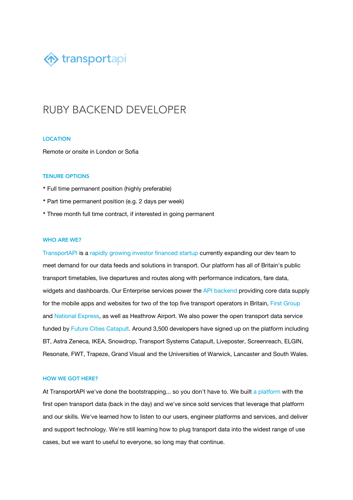

# RUBY BACKEND DEVELOPER

#### LOCATION

Remote or onsite in London or Sofia

#### TENURE OPTIONS

- Full time permanent position (highly preferable)
- Part time permanent position (e.g. 2 days per week)
- Three month full time contract, if interested in going permanent

#### WHO ARE WE?

[TransportAPI](http://transportapi.com/) is a [rapidly growing investor financed startup](http://www.transportapi.com/blog/) currently expanding our dev team to meet demand for our data feeds and solutions in transport. Our platform has all of Britain's public transport timetables, live departures and routes along with performance indicators, fare data, widgets and dashboards. Our Enterprise services power the [API backend](https://developer.transportapi.com/) providing core data supply for the mobile apps and websites for two of the top five transport operators in Britain, [First Group](https://www.transportapi.com/showcase/first-group/) and [National Express](https://www.transportapi.com/blog/2017/08/transportapi-to-provide-data-platform-for-new-national-express-wm-services/), as well as Heathrow Airport. We also power the open transport data service funded by [Future Cities Catapult](https://www.transportapi.com/blog/2017/09/fcc-service/). Around 3,500 developers have signed up on the platform including BT, Astra Zeneca, IKEA, Snowdrop, Transport Systems Catapult, Liveposter, Screenreach, ELGIN, Resonate, FWT, Trapeze, Grand Visual and the Universities of Warwick, Lancaster and South Wales.

#### HOW WE GOT HERE?

At TransportAPI we've done the bootstrapping... so you don't have to. We built [a platform](http://transportapi.com/) with the first open transport data (back in the day) and we've since sold services that leverage that platform and our skills. We've learned how to listen to our users, engineer platforms and services, and deliver and support technology. We're still learning how to plug transport data into the widest range of use cases, but we want to useful to everyone, so long may that continue.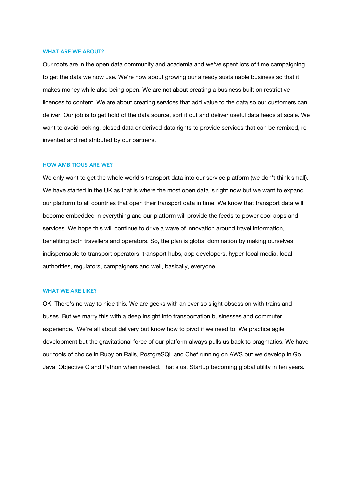#### WHAT ARE WE ABOUT?

Our roots are in the open data community and academia and we've spent lots of time campaigning to get the data we now use. We're now about growing our already sustainable business so that it makes money while also being open. We are not about creating a business built on restrictive licences to content. We are about creating services that add value to the data so our customers can deliver. Our job is to get hold of the data source, sort it out and deliver useful data feeds at scale. We want to avoid locking, closed data or derived data rights to provide services that can be remixed, re‐ invented and redistributed by our partners.

#### HOW AMBITIOUS ARE WE?

We only want to get the whole world's transport data into our service platform (we don't think small). We have started in the UK as that is where the most open data is right now but we want to expand our platform to all countries that open their transport data in time. We know that transport data will become embedded in everything and our platform will provide the feeds to power cool apps and services. We hope this will continue to drive a wave of innovation around travel information, benefiting both travellers and operators. So, the plan is global domination by making ourselves indispensable to transport operators, transport hubs, app developers, hyper-local media, local authorities, regulators, campaigners and well, basically, everyone.

#### WHAT WE ARE LIKE?

OK. There's no way to hide this. We are geeks with an ever so slight obsession with trains and buses. But we marry this with a deep insight into transportation businesses and commuter experience. We're all about delivery but know how to pivot if we need to. We practice agile development but the gravitational force of our platform always pulls us back to pragmatics. We have our tools of choice in Ruby on Rails, PostgreSQL and Chef running on AWS but we develop in Go, Java, Objective C and Python when needed. That's us. Startup becoming global utility in ten years.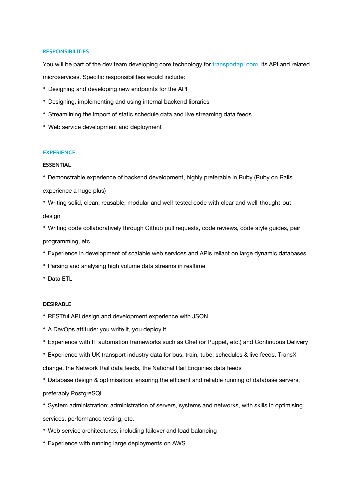#### **RESPONSIBILITIES**

You will be part of the dev team developing core technology for [transportapi.com,](http://transportapi.com/) its API and related microservices. Specific responsibilities would include:

- Designing and developing new endpoints for the API
- Designing, implementing and using internal backend libraries
- Streamlining the import of static schedule data and live streaming data feeds
- Web service development and deployment

## **EXPERIENCE**

#### ESSENTIAL

- Demonstrable experience of backend development, highly preferable in Ruby (Ruby on Rails
- experience a huge plus)
- Writing solid, clean, reusable, modular and well-tested code with clear and well-thought-out design
- Writing code collaboratively through Github pull requests, code reviews, code style guides, pair programming, etc.
- Experience in development of scalable web services and APIs reliant on large dynamic databases
- Parsing and analysing high volume data streams in realtime
- Data ETL

### DESIRABLE

- RESTful API design and development experience with JSON
- A DevOps attitude: you write it, you deploy it
- Experience with IT automation frameworks such as Chef (or Puppet, etc.) and Continuous Delivery
- Experience with UK transport industry data for bus, train, tube: schedules & live feeds, TransX‐

change, the Network Rail data feeds, the National Rail Enquiries data feeds

• Database design & optimisation: ensuring the efficient and reliable running of database servers, preferably PostgreSQL

• System administration: administration of servers, systems and networks, with skills in optimising services, performance testing, etc.

- Web service architectures, including failover and load balancing
- Experience with running large deployments on AWS